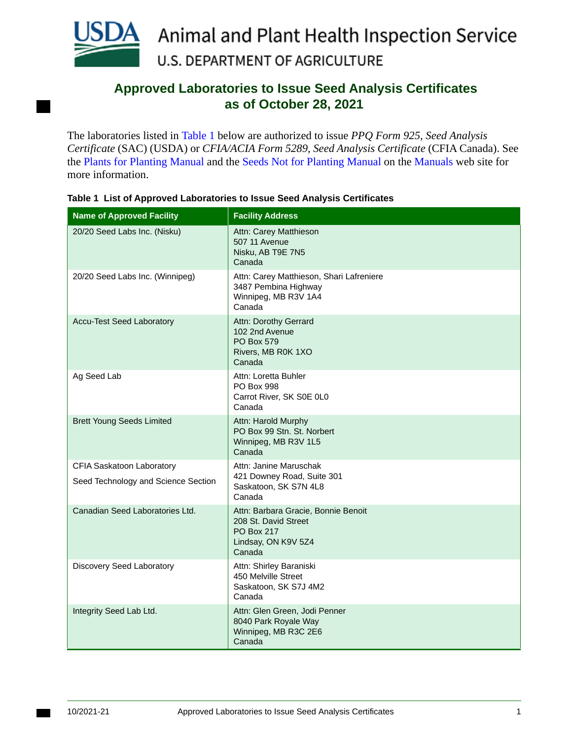

## **Approved Laboratories to Issue Seed Analysis Certificates as of October 28, 2021**

The laboratories listed in [Table 1](#page-0-0) below are authorized to issue *PPQ Form 925, Seed Analysis Certificate* (SAC) (USDA) or *CFIA/ACIA Form 5289, Seed Analysis Certificate* (CFIA Canada). See the [Plants for Planting Manual](https://www.aphis.usda.gov/import_export/plants/manuals/ports/downloads/plants_for_planting.pdf) and the [Seeds Not for Planting Manual](https://www.aphis.usda.gov/import_export/plants/manuals/ports/downloads/seeds_not_for_planting.pdf) on the [Manuals](https://www.aphis.usda.gov/aphis/ourfocus/planthealth/complete-list-of-electronic-manuals/ct_online_manuals) web site for more information.

| <b>Name of Approved Facility</b>                                 | <b>Facility Address</b>                                                                                    |
|------------------------------------------------------------------|------------------------------------------------------------------------------------------------------------|
| 20/20 Seed Labs Inc. (Nisku)                                     | Attn: Carey Matthieson<br><b>507 11 Avenue</b><br>Nisku, AB T9E 7N5<br>Canada                              |
| 20/20 Seed Labs Inc. (Winnipeg)                                  | Attn: Carey Matthieson, Shari Lafreniere<br>3487 Pembina Highway<br>Winnipeg, MB R3V 1A4<br>Canada         |
| <b>Accu-Test Seed Laboratory</b>                                 | Attn: Dorothy Gerrard<br>102 2nd Avenue<br><b>PO Box 579</b><br>Rivers, MB R0K 1XO<br>Canada               |
| Ag Seed Lab                                                      | Attn: Loretta Buhler<br><b>PO Box 998</b><br>Carrot River, SK S0E 0L0<br>Canada                            |
| <b>Brett Young Seeds Limited</b>                                 | Attn: Harold Murphy<br>PO Box 99 Stn. St. Norbert<br>Winnipeg, MB R3V 1L5<br>Canada                        |
| CFIA Saskatoon Laboratory<br>Seed Technology and Science Section | Attn: Janine Maruschak<br>421 Downey Road, Suite 301<br>Saskatoon, SK S7N 4L8<br>Canada                    |
| Canadian Seed Laboratories Ltd.                                  | Attn: Barbara Gracie, Bonnie Benoit<br>208 St. David Street<br>PO Box 217<br>Lindsay, ON K9V 5Z4<br>Canada |
| Discovery Seed Laboratory                                        | Attn: Shirley Baraniski<br>450 Melville Street<br>Saskatoon, SK S7J 4M2<br>Canada                          |
| Integrity Seed Lab Ltd.                                          | Attn: Glen Green, Jodi Penner<br>8040 Park Royale Way<br>Winnipeg, MB R3C 2E6<br>Canada                    |

<span id="page-0-0"></span>**Table 1 List of Approved Laboratories to Issue Seed Analysis Certificates**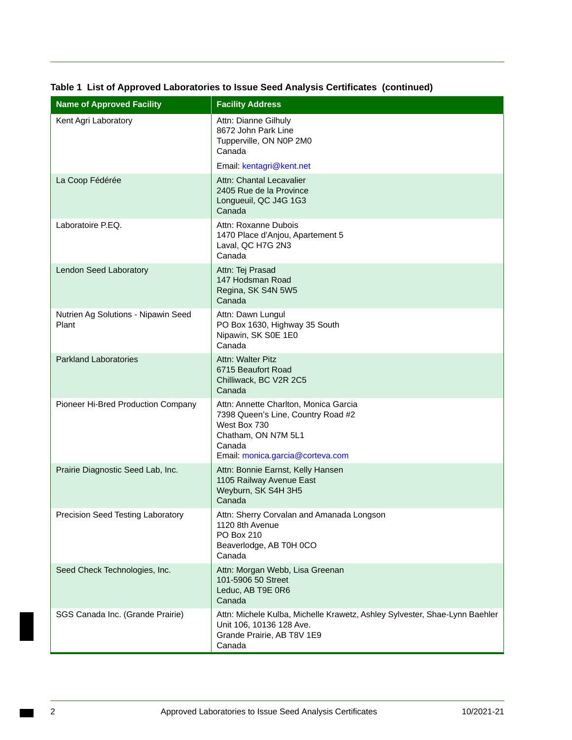| <b>Name of Approved Facility</b>             | <b>Facility Address</b>                                                                                                                                          |
|----------------------------------------------|------------------------------------------------------------------------------------------------------------------------------------------------------------------|
| Kent Agri Laboratory                         | Attn: Dianne Gilhuly<br>8672 John Park Line<br>Tupperville, ON N0P 2M0<br>Canada                                                                                 |
|                                              | Email: kentagri@kent.net                                                                                                                                         |
| La Coop Fédérée                              | Attn: Chantal Lecavalier<br>2405 Rue de la Province<br>Longueuil, QC J4G 1G3<br>Canada                                                                           |
| Laboratoire P.EQ.                            | Attn: Roxanne Dubois<br>1470 Place d'Anjou, Apartement 5<br>Laval, QC H7G 2N3<br>Canada                                                                          |
| Lendon Seed Laboratory                       | Attn: Tej Prasad<br>147 Hodsman Road<br>Regina, SK S4N 5W5<br>Canada                                                                                             |
| Nutrien Ag Solutions - Nipawin Seed<br>Plant | Attn: Dawn Lungul<br>PO Box 1630, Highway 35 South<br>Nipawin, SK S0E 1E0<br>Canada                                                                              |
| <b>Parkland Laboratories</b>                 | Attn: Walter Pitz<br>6715 Beaufort Road<br>Chilliwack, BC V2R 2C5<br>Canada                                                                                      |
| Pioneer Hi-Bred Production Company           | Attn: Annette Charlton, Monica Garcia<br>7398 Queen's Line, Country Road #2<br>West Box 730<br>Chatham, ON N7M 5L1<br>Canada<br>Email: monica.garcia@corteva.com |
| Prairie Diagnostic Seed Lab, Inc.            | Attn: Bonnie Earnst, Kelly Hansen<br>1105 Railway Avenue East<br>Weyburn, SK S4H 3H5<br>Canada                                                                   |
| Precision Seed Testing Laboratory            | Attn: Sherry Corvalan and Amanada Longson<br>1120 8th Avenue<br>PO Box 210<br>Beaverlodge, AB T0H 0CO<br>Canada                                                  |
| Seed Check Technologies, Inc.                | Attn: Morgan Webb, Lisa Greenan<br>101-5906 50 Street<br>Leduc, AB T9E 0R6<br>Canada                                                                             |
| SGS Canada Inc. (Grande Prairie)             | Attn: Michele Kulba, Michelle Krawetz, Ashley Sylvester, Shae-Lynn Baehler<br>Unit 106, 10136 128 Ave.<br>Grande Prairie, AB T8V 1E9<br>Canada                   |

## **Table 1 List of Approved Laboratories to Issue Seed Analysis Certificates (continued)**